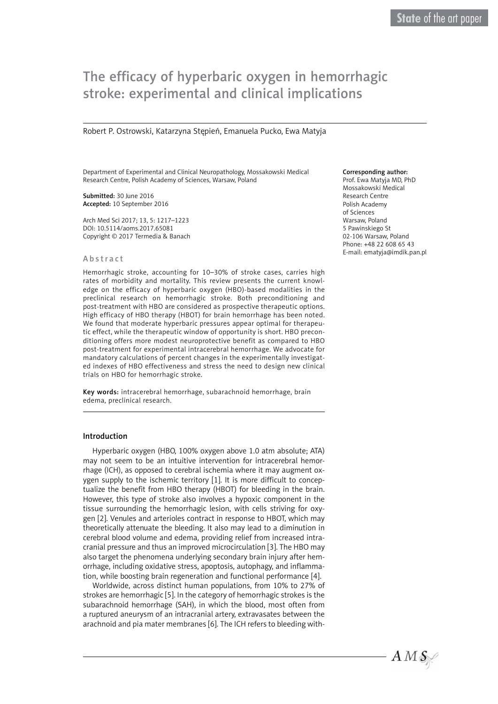# The efficacy of hyperbaric oxygen in hemorrhagic stroke: experimental and clinical implications

Robert P. Ostrowski, Katarzyna Stępień, Emanuela Pucko, Ewa Matyja

Department of Experimental and Clinical Neuropathology, Mossakowski Medical Research Centre, Polish Academy of Sciences, Warsaw, Poland

Submitted: 30 June 2016 Accepted: 10 September 2016

Arch Med Sci 2017; 13, 5: 1217–1223 DOI: 10.5114/aoms.2017.65081 Copyright © 2017 Termedia & Banach

#### Abstract

Hemorrhagic stroke, accounting for 10–30% of stroke cases, carries high rates of morbidity and mortality. This review presents the current knowledge on the efficacy of hyperbaric oxygen (HBO)-based modalities in the preclinical research on hemorrhagic stroke. Both preconditioning and post-treatment with HBO are considered as prospective therapeutic options. High efficacy of HBO therapy (HBOT) for brain hemorrhage has been noted. We found that moderate hyperbaric pressures appear optimal for therapeutic effect, while the therapeutic window of opportunity is short. HBO preconditioning offers more modest neuroprotective benefit as compared to HBO post-treatment for experimental intracerebral hemorrhage. We advocate for mandatory calculations of percent changes in the experimentally investigated indexes of HBO effectiveness and stress the need to design new clinical trials on HBO for hemorrhagic stroke.

Key words: intracerebral hemorrhage, subarachnoid hemorrhage, brain edema, preclinical research.

#### Introduction

Hyperbaric oxygen (HBO, 100% oxygen above 1.0 atm absolute; ATA) may not seem to be an intuitive intervention for intracerebral hemorrhage (ICH), as opposed to cerebral ischemia where it may augment oxygen supply to the ischemic territory [1]. It is more difficult to conceptualize the benefit from HBO therapy (HBOT) for bleeding in the brain. However, this type of stroke also involves a hypoxic component in the tissue surrounding the hemorrhagic lesion, with cells striving for oxygen [2]. Venules and arterioles contract in response to HBOT, which may theoretically attenuate the bleeding. It also may lead to a diminution in cerebral blood volume and edema, providing relief from increased intracranial pressure and thus an improved microcirculation [3]. The HBO may also target the phenomena underlying secondary brain injury after hemorrhage, including oxidative stress, apoptosis, autophagy, and inflammation, while boosting brain regeneration and functional performance [4].

Worldwide, across distinct human populations, from 10% to 27% of strokes are hemorrhagic [5]. In the category of hemorrhagic strokes is the subarachnoid hemorrhage (SAH), in which the blood, most often from a ruptured aneurysm of an intracranial artery, extravasates between the arachnoid and pia mater membranes [6]. The ICH refers to bleeding with-

#### Corresponding author:

Prof. Ewa Matyja MD, PhD Mossakowski Medical Research Centre Polish Academy of Sciences Warsaw, Poland 5 Pawinskiego St 02-106 Warsaw, Poland Phone: +48 22 608 65 43 E-mail: ematyja@imdik.pan.pl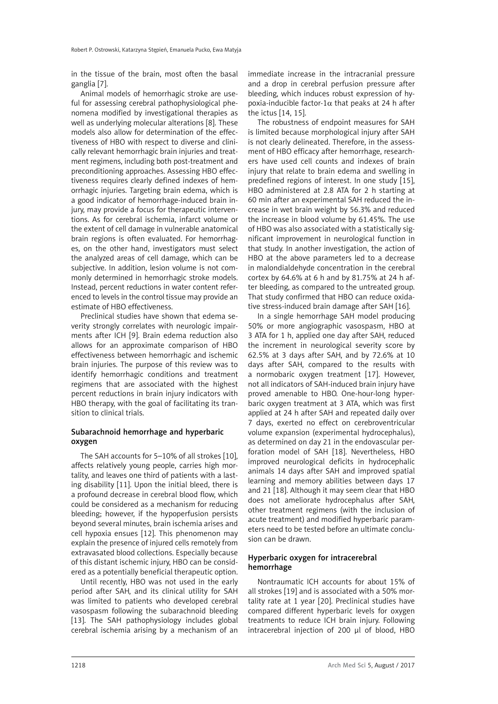in the tissue of the brain, most often the basal ganglia [7].

Animal models of hemorrhagic stroke are useful for assessing cerebral pathophysiological phenomena modified by investigational therapies as well as underlying molecular alterations [8]. These models also allow for determination of the effectiveness of HBO with respect to diverse and clinically relevant hemorrhagic brain injuries and treatment regimens, including both post-treatment and preconditioning approaches. Assessing HBO effectiveness requires clearly defined indexes of hemorrhagic injuries. Targeting brain edema, which is a good indicator of hemorrhage-induced brain injury, may provide a focus for therapeutic interventions. As for cerebral ischemia, infarct volume or the extent of cell damage in vulnerable anatomical brain regions is often evaluated. For hemorrhages, on the other hand, investigators must select the analyzed areas of cell damage, which can be subjective. In addition, lesion volume is not commonly determined in hemorrhagic stroke models. Instead, percent reductions in water content referenced to levels in the control tissue may provide an estimate of HBO effectiveness.

Preclinical studies have shown that edema severity strongly correlates with neurologic impairments after ICH [9]. Brain edema reduction also allows for an approximate comparison of HBO effectiveness between hemorrhagic and ischemic brain injuries. The purpose of this review was to identify hemorrhagic conditions and treatment regimens that are associated with the highest percent reductions in brain injury indicators with HBO therapy, with the goal of facilitating its transition to clinical trials.

## Subarachnoid hemorrhage and hyperbaric oxygen

The SAH accounts for 5–10% of all strokes [10], affects relatively young people, carries high mortality, and leaves one third of patients with a lasting disability [11]. Upon the initial bleed, there is a profound decrease in cerebral blood flow, which could be considered as a mechanism for reducing bleeding; however, if the hypoperfusion persists beyond several minutes, brain ischemia arises and cell hypoxia ensues [12]. This phenomenon may explain the presence of injured cells remotely from extravasated blood collections. Especially because of this distant ischemic injury, HBO can be considered as a potentially beneficial therapeutic option.

Until recently, HBO was not used in the early period after SAH, and its clinical utility for SAH was limited to patients who developed cerebral vasospasm following the subarachnoid bleeding [13]. The SAH pathophysiology includes global cerebral ischemia arising by a mechanism of an immediate increase in the intracranial pressure and a drop in cerebral perfusion pressure after bleeding, which induces robust expression of hypoxia-inducible factor-1 $\alpha$  that peaks at 24 h after the ictus [14, 15].

The robustness of endpoint measures for SAH is limited because morphological injury after SAH is not clearly delineated. Therefore, in the assessment of HBO efficacy after hemorrhage, researchers have used cell counts and indexes of brain injury that relate to brain edema and swelling in predefined regions of interest. In one study [15], HBO administered at 2.8 ATA for 2 h starting at 60 min after an experimental SAH reduced the increase in wet brain weight by 56.3% and reduced the increase in blood volume by 61.45%. The use of HBO was also associated with a statistically significant improvement in neurological function in that study. In another investigation, the action of HBO at the above parameters led to a decrease in malondialdehyde concentration in the cerebral cortex by 64.6% at 6 h and by 81.75% at 24 h after bleeding, as compared to the untreated group. That study confirmed that HBO can reduce oxidative stress-induced brain damage after SAH [16].

In a single hemorrhage SAH model producing 50% or more angiographic vasospasm, HBO at 3 ATA for 1 h, applied one day after SAH, reduced the increment in neurological severity score by 62.5% at 3 days after SAH, and by 72.6% at 10 days after SAH, compared to the results with a normobaric oxygen treatment [17]. However, not all indicators of SAH-induced brain injury have proved amenable to HBO. One-hour-long hyperbaric oxygen treatment at 3 ATA, which was first applied at 24 h after SAH and repeated daily over 7 days, exerted no effect on cerebroventricular volume expansion (experimental hydrocephalus), as determined on day 21 in the endovascular perforation model of SAH [18]. Nevertheless, HBO improved neurological deficits in hydrocephalic animals 14 days after SAH and improved spatial learning and memory abilities between days 17 and 21 [18]. Although it may seem clear that HBO does not ameliorate hydrocephalus after SAH, other treatment regimens (with the inclusion of acute treatment) and modified hyperbaric parameters need to be tested before an ultimate conclusion can be drawn.

# Hyperbaric oxygen for intracerebral hemorrhage

Nontraumatic ICH accounts for about 15% of all strokes [19] and is associated with a 50% mortality rate at 1 year [20]. Preclinical studies have compared different hyperbaric levels for oxygen treatments to reduce ICH brain injury. Following intracerebral injection of 200 µl of blood, HBO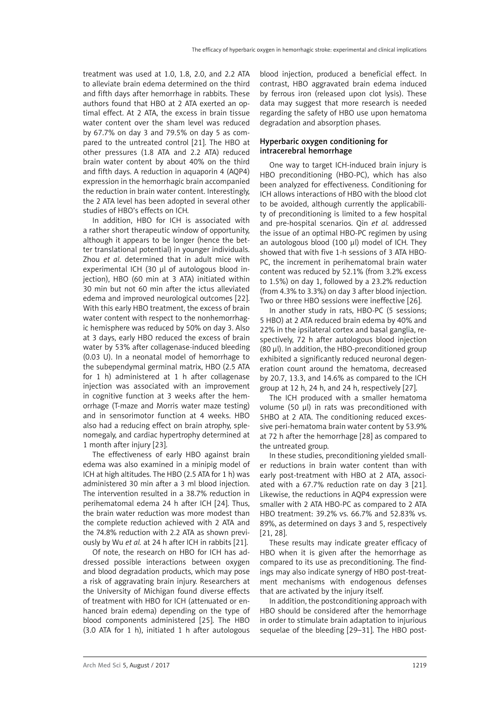treatment was used at 1.0, 1.8, 2.0, and 2.2 ATA to alleviate brain edema determined on the third and fifth days after hemorrhage in rabbits. These authors found that HBO at 2 ATA exerted an optimal effect. At 2 ATA, the excess in brain tissue water content over the sham level was reduced by 67.7% on day 3 and 79.5% on day 5 as compared to the untreated control [21]. The HBO at other pressures (1.8 ATA and 2.2 ATA) reduced brain water content by about 40% on the third and fifth days. A reduction in aquaporin 4 (AQP4) expression in the hemorrhagic brain accompanied the reduction in brain water content. Interestingly, the 2 ATA level has been adopted in several other studies of HBO's effects on ICH.

In addition, HBO for ICH is associated with a rather short therapeutic window of opportunity, although it appears to be longer (hence the better translational potential) in younger individuals. Zhou *et al.* determined that in adult mice with experimental ICH (30 µl of autologous blood injection), HBO (60 min at 3 ATA) initiated within 30 min but not 60 min after the ictus alleviated edema and improved neurological outcomes [22]. With this early HBO treatment, the excess of brain water content with respect to the nonhemorrhagic hemisphere was reduced by 50% on day 3. Also at 3 days, early HBO reduced the excess of brain water by 53% after collagenase-induced bleeding (0.03 U). In a neonatal model of hemorrhage to the subependymal germinal matrix, HBO (2.5 ATA for 1 h) administered at 1 h after collagenase injection was associated with an improvement in cognitive function at 3 weeks after the hemorrhage (T-maze and Morris water maze testing) and in sensorimotor function at 4 weeks. HBO also had a reducing effect on brain atrophy, splenomegaly, and cardiac hypertrophy determined at 1 month after injury [23].

The effectiveness of early HBO against brain edema was also examined in a minipig model of ICH at high altitudes. The HBO (2.5 ATA for 1 h) was administered 30 min after a 3 ml blood injection. The intervention resulted in a 38.7% reduction in perihematomal edema 24 h after ICH [24]. Thus, the brain water reduction was more modest than the complete reduction achieved with 2 ATA and the 74.8% reduction with 2.2 ATA as shown previously by Wu *et al.* at 24 h after ICH in rabbits [21].

Of note, the research on HBO for ICH has addressed possible interactions between oxygen and blood degradation products, which may pose a risk of aggravating brain injury. Researchers at the University of Michigan found diverse effects of treatment with HBO for ICH (attenuated or enhanced brain edema) depending on the type of blood components administered [25]. The HBO (3.0 ATA for 1 h), initiated 1 h after autologous blood injection, produced a beneficial effect. In contrast, HBO aggravated brain edema induced by ferrous iron (released upon clot lysis). These data may suggest that more research is needed regarding the safety of HBO use upon hematoma degradation and absorption phases.

## Hyperbaric oxygen conditioning for intracerebral hemorrhage

One way to target ICH-induced brain injury is HBO preconditioning (HBO-PC), which has also been analyzed for effectiveness. Conditioning for ICH allows interactions of HBO with the blood clot to be avoided, although currently the applicability of preconditioning is limited to a few hospital and pre-hospital scenarios. Qin *et al.* addressed the issue of an optimal HBO-PC regimen by using an autologous blood (100 µl) model of ICH. They showed that with five 1-h sessions of 3 ATA HBO-PC, the increment in perihematomal brain water content was reduced by 52.1% (from 3.2% excess to 1.5%) on day 1, followed by a 23.2% reduction (from 4.3% to 3.3%) on day 3 after blood injection. Two or three HBO sessions were ineffective [26].

In another study in rats, HBO-PC (5 sessions; 5 HBO) at 2 ATA reduced brain edema by 40% and 22% in the ipsilateral cortex and basal ganglia, respectively, 72 h after autologous blood injection  $(80 \mu l)$ . In addition, the HBO-preconditioned group exhibited a significantly reduced neuronal degeneration count around the hematoma, decreased by 20.7, 13.3, and 14.6% as compared to the ICH group at 12 h, 24 h, and 24 h, respectively [27].

The ICH produced with a smaller hematoma volume (50 µl) in rats was preconditioned with 5HBO at 2 ATA. The conditioning reduced excessive peri-hematoma brain water content by 53.9% at 72 h after the hemorrhage [28] as compared to the untreated group.

In these studies, preconditioning yielded smaller reductions in brain water content than with early post-treatment with HBO at 2 ATA, associated with a 67.7% reduction rate on day 3 [21]. Likewise, the reductions in AQP4 expression were smaller with 2 ATA HBO-PC as compared to 2 ATA HBO treatment: 39.2% vs. 66.7% and 52.83% vs. 89%, as determined on days 3 and 5, respectively [21, 28].

These results may indicate greater efficacy of HBO when it is given after the hemorrhage as compared to its use as preconditioning. The findings may also indicate synergy of HBO post-treatment mechanisms with endogenous defenses that are activated by the injury itself.

In addition, the postconditioning approach with HBO should be considered after the hemorrhage in order to stimulate brain adaptation to injurious sequelae of the bleeding [29–31]. The HBO post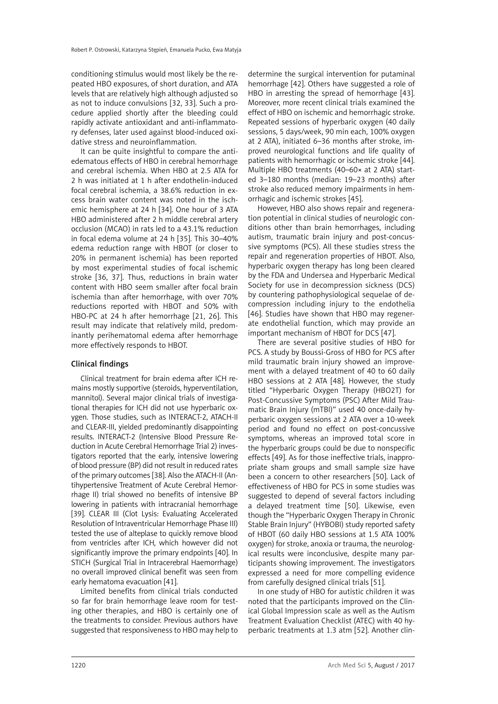conditioning stimulus would most likely be the repeated HBO exposures, of short duration, and ATA levels that are relatively high although adjusted so as not to induce convulsions [32, 33]. Such a procedure applied shortly after the bleeding could rapidly activate antioxidant and anti-inflammatory defenses, later used against blood-induced oxidative stress and neuroinflammation.

It can be quite insightful to compare the antiedematous effects of HBO in cerebral hemorrhage and cerebral ischemia. When HBO at 2.5 ATA for 2 h was initiated at 1 h after endothelin-induced focal cerebral ischemia, a 38.6% reduction in excess brain water content was noted in the ischemic hemisphere at 24 h [34]. One hour of 3 ATA HBO administered after 2 h middle cerebral artery occlusion (MCAO) in rats led to a 43.1% reduction in focal edema volume at 24 h [35]. This 30–40% edema reduction range with HBOT (or closer to 20% in permanent ischemia) has been reported by most experimental studies of focal ischemic stroke [36, 37]. Thus, reductions in brain water content with HBO seem smaller after focal brain ischemia than after hemorrhage, with over 70% reductions reported with HBOT and 50% with HBO-PC at 24 h after hemorrhage [21, 26]. This result may indicate that relatively mild, predominantly perihematomal edema after hemorrhage more effectively responds to HBOT.

## Clinical findings

Clinical treatment for brain edema after ICH remains mostly supportive (steroids, hyperventilation, mannitol). Several major clinical trials of investigational therapies for ICH did not use hyperbaric oxygen. Those studies, such as INTERACT-2, ATACH-II and CLEAR-III, yielded predominantly disappointing results. INTERACT-2 (Intensive Blood Pressure Reduction in Acute Cerebral Hemorrhage Trial 2) investigators reported that the early, intensive lowering of blood pressure (BP) did not result in reduced rates of the primary outcomes [38]. Also the ATACH-II (Antihypertensive Treatment of Acute Cerebral Hemorrhage II) trial showed no benefits of intensive BP lowering in patients with intracranial hemorrhage [39]. CLEAR III (Clot Lysis: Evaluating Accelerated Resolution of Intraventricular Hemorrhage Phase III) tested the use of alteplase to quickly remove blood from ventricles after ICH, which however did not significantly improve the primary endpoints [40]. In STICH (Surgical Trial in Intracerebral Haemorrhage) no overall improved clinical benefit was seen from early hematoma evacuation [41].

Limited benefits from clinical trials conducted so far for brain hemorrhage leave room for testing other therapies, and HBO is certainly one of the treatments to consider. Previous authors have suggested that responsiveness to HBO may help to

determine the surgical intervention for putaminal hemorrhage [42]. Others have suggested a role of HBO in arresting the spread of hemorrhage [43]. Moreover, more recent clinical trials examined the effect of HBO on ischemic and hemorrhagic stroke. Repeated sessions of hyperbaric oxygen (40 daily sessions, 5 days/week, 90 min each, 100% oxygen at 2 ATA), initiated 6–36 months after stroke, improved neurological functions and life quality of patients with hemorrhagic or ischemic stroke [44]. Multiple HBO treatments (40–60× at 2 ATA) started 3–180 months (median: 19–23 months) after stroke also reduced memory impairments in hemorrhagic and ischemic strokes [45].

However, HBO also shows repair and regeneration potential in clinical studies of neurologic conditions other than brain hemorrhages, including autism, traumatic brain injury and post-concussive symptoms (PCS). All these studies stress the repair and regeneration properties of HBOT. Also, hyperbaric oxygen therapy has long been cleared by the FDA and Undersea and Hyperbaric Medical Society for use in decompression sickness (DCS) by countering pathophysiological sequelae of decompression including injury to the endothelia [46]. Studies have shown that HBO may regenerate endothelial function, which may provide an important mechanism of HBOT for DCS [47].

There are several positive studies of HBO for PCS. A study by Boussi-Gross of HBO for PCS after mild traumatic brain injury showed an improvement with a delayed treatment of 40 to 60 daily HBO sessions at 2 ATA [48]. However, the study titled "Hyperbaric Oxygen Therapy (HBO2T) for Post-Concussive Symptoms (PSC) After Mild Traumatic Brain Injury (mTBI)" used 40 once-daily hyperbaric oxygen sessions at 2 ATA over a 10-week period and found no effect on post-concussive symptoms, whereas an improved total score in the hyperbaric groups could be due to nonspecific effects [49]. As for those ineffective trials, inappropriate sham groups and small sample size have been a concern to other researchers [50]. Lack of effectiveness of HBO for PCS in some studies was suggested to depend of several factors including a delayed treatment time [50]. Likewise, even though the "Hyperbaric Oxygen Therapy in Chronic Stable Brain Injury" (HYBOBI) study reported safety of HBOT (60 daily HBO sessions at 1.5 ATA 100% oxygen) for stroke, anoxia or trauma, the neurological results were inconclusive, despite many participants showing improvement. The investigators expressed a need for more compelling evidence from carefully designed clinical trials [51].

In one study of HBO for autistic children it was noted that the participants improved on the Clinical Global Impression scale as well as the Autism Treatment Evaluation Checklist (ATEC) with 40 hyperbaric treatments at 1.3 atm [52]. Another clin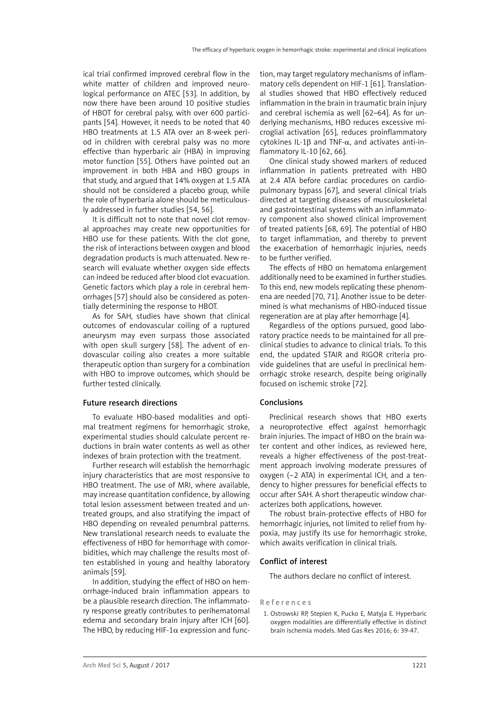ical trial confirmed improved cerebral flow in the white matter of children and improved neurological performance on ATEC [53]. In addition, by now there have been around 10 positive studies of HBOT for cerebral palsy, with over 600 participants [54]. However, it needs to be noted that 40 HBO treatments at 1.5 ATA over an 8-week period in children with cerebral palsy was no more effective than hyperbaric air (HBA) in improving motor function [55]. Others have pointed out an improvement in both HBA and HBO groups in that study, and argued that 14% oxygen at 1.5 ATA should not be considered a placebo group, while the role of hyperbaria alone should be meticulously addressed in further studies [54, 56].

It is difficult not to note that novel clot removal approaches may create new opportunities for HBO use for these patients. With the clot gone, the risk of interactions between oxygen and blood degradation products is much attenuated. New research will evaluate whether oxygen side effects can indeed be reduced after blood clot evacuation. Genetic factors which play a role in cerebral hemorrhages [57] should also be considered as potentially determining the response to HBOT.

As for SAH, studies have shown that clinical outcomes of endovascular coiling of a ruptured aneurysm may even surpass those associated with open skull surgery [58]. The advent of endovascular coiling also creates a more suitable therapeutic option than surgery for a combination with HBO to improve outcomes, which should be further tested clinically.

#### Future research directions

To evaluate HBO-based modalities and optimal treatment regimens for hemorrhagic stroke, experimental studies should calculate percent reductions in brain water contents as well as other indexes of brain protection with the treatment.

Further research will establish the hemorrhagic injury characteristics that are most responsive to HBO treatment. The use of MRI, where available, may increase quantitation confidence, by allowing total lesion assessment between treated and untreated groups, and also stratifying the impact of HBO depending on revealed penumbral patterns. New translational research needs to evaluate the effectiveness of HBO for hemorrhage with comorbidities, which may challenge the results most often established in young and healthy laboratory animals [59].

In addition, studying the effect of HBO on hemorrhage-induced brain inflammation appears to be a plausible research direction. The inflammatory response greatly contributes to perihematomal edema and secondary brain injury after ICH [60]. The HBO, by reducing HIF-1 $\alpha$  expression and function, may target regulatory mechanisms of inflammatory cells dependent on HIF-1 [61]. Translational studies showed that HBO effectively reduced inflammation in the brain in traumatic brain injury and cerebral ischemia as well [62–64]. As for underlying mechanisms, HBO reduces excessive microglial activation [65], reduces proinflammatory cytokines IL-1β and TNF-α, and activates anti-inflammatory IL-10 [62, 66].

One clinical study showed markers of reduced inflammation in patients pretreated with HBO at 2.4 ATA before cardiac procedures on cardiopulmonary bypass [67], and several clinical trials directed at targeting diseases of musculoskeletal and gastrointestinal systems with an inflammatory component also showed clinical improvement of treated patients [68, 69]. The potential of HBO to target inflammation, and thereby to prevent the exacerbation of hemorrhagic injuries, needs to be further verified.

The effects of HBO on hematoma enlargement additionally need to be examined in further studies. To this end, new models replicating these phenomena are needed [70, 71]. Another issue to be determined is what mechanisms of HBO-induced tissue regeneration are at play after hemorrhage [4].

Regardless of the options pursued, good laboratory practice needs to be maintained for all preclinical studies to advance to clinical trials. To this end, the updated STAIR and RIGOR criteria provide guidelines that are useful in preclinical hemorrhagic stroke research, despite being originally focused on ischemic stroke [72].

## Conclusions

Preclinical research shows that HBO exerts a neuroprotective effect against hemorrhagic brain injuries. The impact of HBO on the brain water content and other indices, as reviewed here, reveals a higher effectiveness of the post-treatment approach involving moderate pressures of oxygen (~2 ATA) in experimental ICH, and a tendency to higher pressures for beneficial effects to occur after SAH. A short therapeutic window characterizes both applications, however.

The robust brain-protective effects of HBO for hemorrhagic injuries, not limited to relief from hypoxia, may justify its use for hemorrhagic stroke, which awaits verification in clinical trials.

## Conflict of interest

The authors declare no conflict of interest.

#### References

1. Ostrowski RP, Stepien K, Pucko E, Matyja E. Hyperbaric oxygen modalities are differentially effective in distinct brain ischemia models. Med Gas Res 2016; 6: 39-47.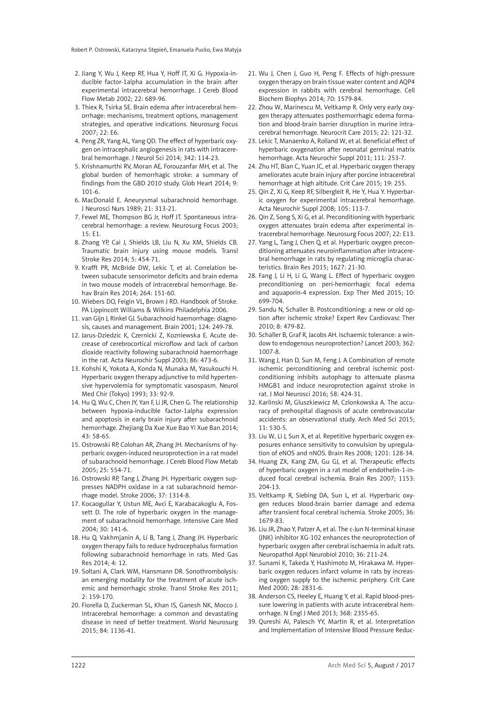Robert P. Ostrowski, Katarzyna Stępień, Emanuela Pucko, Ewa Matyja

- 2. Jiang Y, Wu J, Keep RF, Hua Y, Hoff JT, Xi G. Hypoxia-inducible factor-1alpha accumulation in the brain after experimental intracerebral hemorrhage. J Cereb Blood Flow Metab 2002; 22: 689-96.
- 3. Thiex R, Tsirka SE. Brain edema after intracerebral hemorrhage: mechanisms, treatment options, management strategies, and operative indications. Neurosurg Focus 2007; 22: E6.
- 4. Peng ZR, Yang AL, Yang QD. The effect of hyperbaric oxygen on intracephalic angiogenesis in rats with intracerebral hemorrhage. J Neurol Sci 2014; 342: 114-23.
- 5. Krishnamurthi RV, Moran AE, Forouzanfar MH, et al. The global burden of hemorrhagic stroke: a summary of findings from the GBD 2010 study. Glob Heart 2014; 9: 101-6.
- 6. MacDonald E. Aneurysmal subarachnoid hemorrhage. J Neurosci Nurs 1989; 21: 313-21.
- 7. Fewel ME, Thompson BG Jr, Hoff JT. Spontaneous intracerebral hemorrhage: a review. Neurosurg Focus 2003; 15: E1.
- 8. Zhang YP, Cai J, Shields LB, Liu N, Xu XM, Shields CB. Traumatic brain injury using mouse models. Transl Stroke Res 2014; 5: 454-71.
- 9. Krafft PR, McBride DW, Lekic T, et al. Correlation between subacute sensorimotor deficits and brain edema in two mouse models of intracerebral hemorrhage. Behav Brain Res 2014; 264: 151-60.
- 10. Wiebers DO, Feigin VL, Brown J RD. Handbook of Stroke*.* PA Lippincott Williams & Wilkins Philadelphia 2006.
- 11. van Gijn J, Rinkel GJ. Subarachnoid haemorrhage: diagnosis, causes and management. Brain 2001; 124: 249-78.
- 12. Jarus-Dziedzic K, Czernicki Z, Kozniewska E. Acute decrease of cerebrocortical microflow and lack of carbon dioxide reactivity following subarachnoid haemorrhage in the rat. Acta Neurochir Suppl 2003; 86: 473-6.
- 13. Kohshi K, Yokota A, Konda N, Munaka M, Yasukouchi H. Hyperbaric oxygen therapy adjunctive to mild hypertensive hypervolemia for symptomatic vasospasm. Neurol Med Chir (Tokyo) 1993; 33: 92-9.
- 14. Hu Q, Wu C, Chen JY, Yan F, Li JR, Chen G. The relationship between hypoxia-inducible factor-1alpha expression and apoptosis in early brain injury after subarachnoid hemorrhage. Zhejiang Da Xue Xue Bao Yi Xue Ban 2014; 43: 58-65.
- 15. Ostrowski RP, Colohan AR, Zhang JH. Mechanisms of hyperbaric oxygen-induced neuroprotection in a rat model of subarachnoid hemorrhage. J Cereb Blood Flow Metab 2005; 25: 554-71.
- 16. Ostrowski RP, Tang J, Zhang JH. Hyperbaric oxygen suppresses NADPH oxidase in a rat subarachnoid hemorrhage model. Stroke 2006; 37: 1314-8.
- 17. Kocaogullar Y, Ustun ME, Avci E, Karabacakoglu A, Fossett D. The role of hyperbaric oxygen in the management of subarachnoid hemorrhage. Intensive Care Med 2004; 30: 141-6.
- 18. Hu Q, Vakhmjanin A, Li B, Tang J, Zhang JH. Hyperbaric oxygen therapy fails to reduce hydrocephalus formation following subarachnoid hemorrhage in rats. Med Gas Res 2014; 4: 12.
- 19. Soltani A, Clark WM, Hansmann DR. Sonothrombolysis: an emerging modality for the treatment of acute ischemic and hemorrhagic stroke. Transl Stroke Res 2011; 2: 159-170.
- 20. Fiorella D, Zuckerman SL, Khan IS, Ganesh NK, Mocco J. Intracerebral hemorrhage: a common and devastating disease in need of better treatment. World Neurosurg 2015; 84: 1136-41.
- 21. Wu J, Chen J, Guo H, Peng F. Effects of high-pressure oxygen therapy on brain tissue water content and AQP4 expression in rabbits with cerebral hemorrhage. Cell Biochem Biophys 2014; 70: 1579-84.
- 22. Zhou W, Marinescu M, Veltkamp R. Only very early oxygen therapy attenuates posthemorrhagic edema formation and blood-brain barrier disruption in murine intracerebral hemorrhage. Neurocrit Care 2015; 22: 121-32.
- 23. Lekic T, Manaenko A, Rolland W, et al. Beneficial effect of hyperbaric oxygenation after neonatal germinal matrix hemorrhage. Acta Neurochir Suppl 2011; 111: 253-7.
- 24. Zhu HT, Bian C, Yuan JC, et al. Hyperbaric oxygen therapy ameliorates acute brain injury after porcine intracerebral hemorrhage at high altitude. Crit Care 2015; 19: 255.
- 25. Qin Z, Xi G, Keep RF, Silbergleit R, He Y, Hua Y. Hyperbaric oxygen for experimental intracerebral hemorrhage. Acta Neurochir Suppl 2008; 105: 113-7.
- 26. Qin Z, Song S, Xi G, et al. Preconditioning with hyperbaric oxygen attenuates brain edema after experimental intracerebral hemorrhage. Neurosurg Focus 2007; 22: E13.
- 27. Yang L, Tang J, Chen Q, et al. Hyperbaric oxygen preconditioning attenuates neuroinflammation after intracerebral hemorrhage in rats by regulating microglia characteristics. Brain Res 2015; 1627: 21-30.
- 28. Fang J, Li H, Li G, Wang L. Effect of hyperbaric oxygen preconditioning on peri-hemorrhagic focal edema and aquaporin-4 expression. Exp Ther Med 2015; 10: 699-704.
- 29. Sandu N, Schaller B. Postconditioning: a new or old option after ischemic stroke? Expert Rev Cardiovasc Ther 2010; 8: 479-82.
- 30. Schaller B, Graf R, Jacobs AH. Ischaemic tolerance: a window to endogenous neuroprotection? Lancet 2003; 362: 1007-8.
- 31. Wang J, Han D, Sun M, Feng J. A Combination of remote ischemic perconditioning and cerebral ischemic postconditioning inhibits autophagy to attenuate plasma HMGB1 and induce neuroprotection against stroke in rat. J Mol Neurosci 2016; 58: 424-31.
- 32. Karlinski M, Gluszkiewicz M, Czlonkowska A. The accuracy of prehospital diagnosis of acute cerebrovascular accidents: an observational study. Arch Med Sci 2015; 11: 530-5.
- 33. Liu W, Li J, Sun X, et al. Repetitive hyperbaric oxygen exposures enhance sensitivity to convulsion by upregulation of eNOS and nNOS. Brain Res 2008; 1201: 128-34.
- 34. Huang ZX, Kang ZM, Gu GJ, et al. Therapeutic effects of hyperbaric oxygen in a rat model of endothelin-1-induced focal cerebral ischemia. Brain Res 2007; 1153: 204-13.
- 35. Veltkamp R, Siebing DA, Sun L, et al. Hyperbaric oxygen reduces blood-brain barrier damage and edema after transient focal cerebral ischemia. Stroke 2005; 36: 1679-83.
- 36. Liu JR, Zhao Y, Patzer A, et al. The c-Jun N-terminal kinase (JNK) inhibitor XG-102 enhances the neuroprotection of hyperbaric oxygen after cerebral ischaemia in adult rats. Neuropathol Appl Neurobiol 2010; 36: 211-24.
- 37. Sunami K, Takeda Y, Hashimoto M, Hirakawa M. Hyperbaric oxygen reduces infarct volume in rats by increasing oxygen supply to the ischemic periphery. Crit Care Med 2000; 28: 2831-6.
- 38. Anderson CS, Heeley E, Huang Y, et al. Rapid blood-pressure lowering in patients with acute intracerebral hemorrhage. N Engl J Med 2013; 368: 2355-65.
- 39. Qureshi AI, Palesch YY, Martin R, et al. Interpretation and Implementation of Intensive Blood Pressure Reduc-